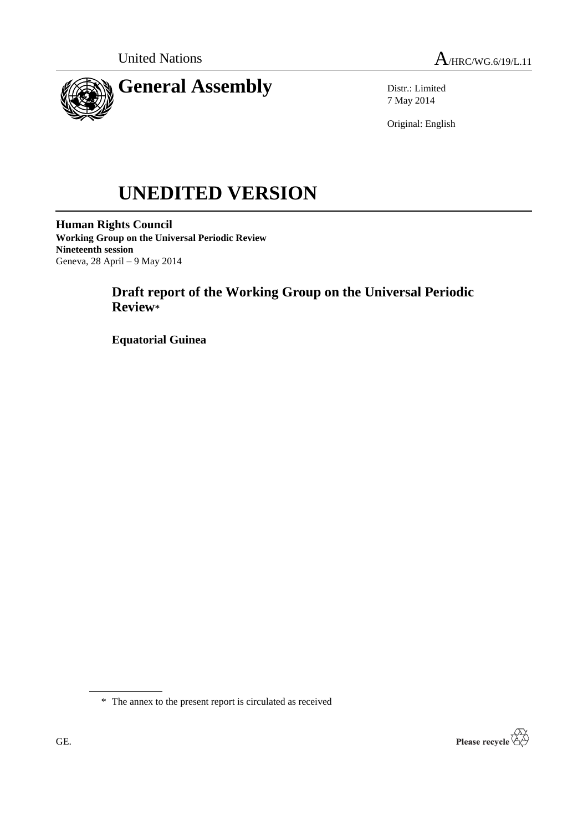



Distr.: Limited 7 May 2014

Original: English

# **UNEDITED VERSION**

**Human Rights Council Working Group on the Universal Periodic Review Nineteenth session** Geneva, 28 April – 9 May 2014

# **Draft report of the Working Group on the Universal Periodic Review\***

**Equatorial Guinea**

\* The annex to the present report is circulated as received

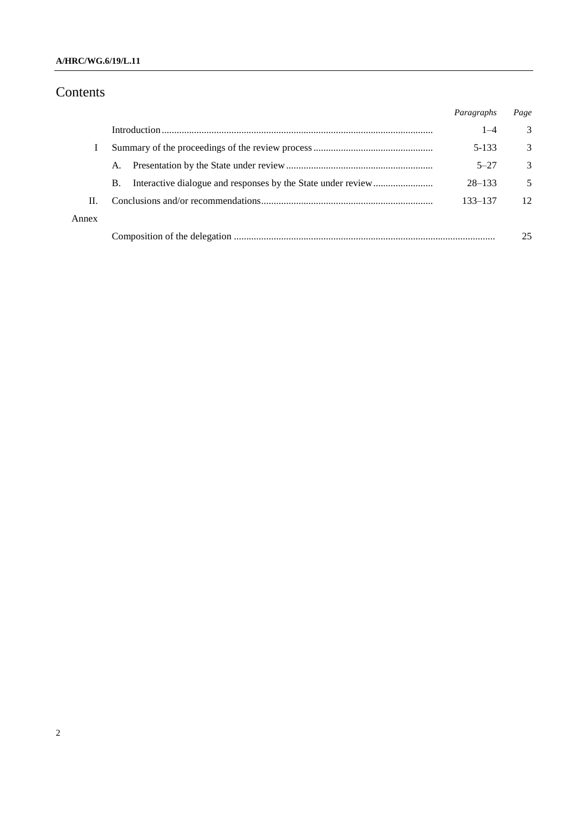## **A/HRC/WG.6/19/L.11**

# Contents

|       |           | Paragraphs | Page          |
|-------|-----------|------------|---------------|
|       |           | $1 - 4$    | 3             |
|       |           | 5-133      | 3             |
|       | A.        | $5 - 27$   | $\mathcal{R}$ |
|       | <b>B.</b> | $28 - 133$ | 5             |
| H.    |           | 133–137    | 12            |
| Annex |           |            |               |
|       |           |            | 25            |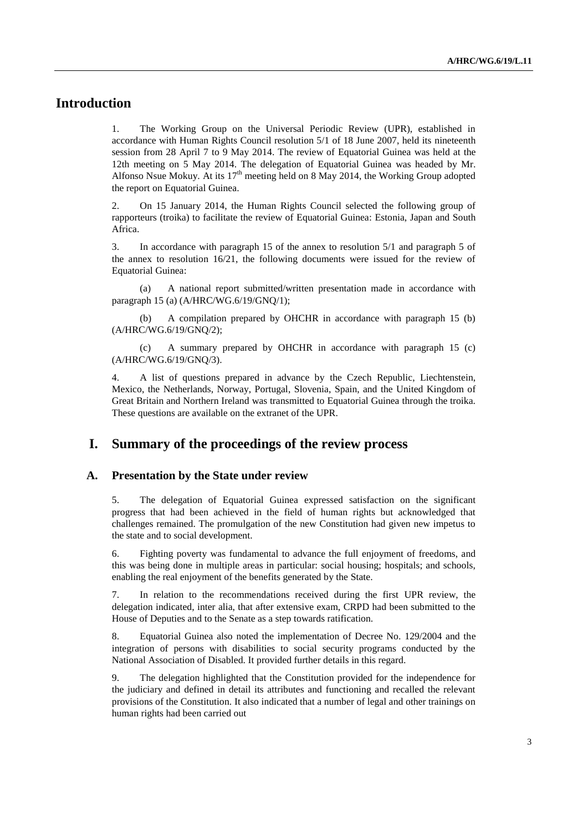## **Introduction**

1. The Working Group on the Universal Periodic Review (UPR), established in accordance with Human Rights Council resolution 5/1 of 18 June 2007, held its nineteenth session from 28 April 7 to 9 May 2014. The review of Equatorial Guinea was held at the 12th meeting on 5 May 2014. The delegation of Equatorial Guinea was headed by Mr. Alfonso Nsue Mokuy. At its  $17<sup>th</sup>$  meeting held on 8 May 2014, the Working Group adopted the report on Equatorial Guinea.

2. On 15 January 2014, the Human Rights Council selected the following group of rapporteurs (troika) to facilitate the review of Equatorial Guinea: Estonia, Japan and South Africa.

3. In accordance with paragraph 15 of the annex to resolution 5/1 and paragraph 5 of the annex to resolution 16/21, the following documents were issued for the review of Equatorial Guinea:

(a) A national report submitted/written presentation made in accordance with paragraph 15 (a) (A/HRC/WG.6/19/GNQ/1);

(b) A compilation prepared by OHCHR in accordance with paragraph 15 (b) (A/HRC/WG.6/19/GNQ/2);

(c) A summary prepared by OHCHR in accordance with paragraph 15 (c) (A/HRC/WG.6/19/GNQ/3).

4. A list of questions prepared in advance by the Czech Republic, Liechtenstein, Mexico, the Netherlands, Norway, Portugal, Slovenia, Spain, and the United Kingdom of Great Britain and Northern Ireland was transmitted to Equatorial Guinea through the troika. These questions are available on the extranet of the UPR.

## **I. Summary of the proceedings of the review process**

#### **A. Presentation by the State under review**

5. The delegation of Equatorial Guinea expressed satisfaction on the significant progress that had been achieved in the field of human rights but acknowledged that challenges remained. The promulgation of the new Constitution had given new impetus to the state and to social development.

6. Fighting poverty was fundamental to advance the full enjoyment of freedoms, and this was being done in multiple areas in particular: social housing; hospitals; and schools, enabling the real enjoyment of the benefits generated by the State.

7. In relation to the recommendations received during the first UPR review, the delegation indicated, inter alia, that after extensive exam, CRPD had been submitted to the House of Deputies and to the Senate as a step towards ratification.

8. Equatorial Guinea also noted the implementation of Decree No. 129/2004 and the integration of persons with disabilities to social security programs conducted by the National Association of Disabled. It provided further details in this regard.

9. The delegation highlighted that the Constitution provided for the independence for the judiciary and defined in detail its attributes and functioning and recalled the relevant provisions of the Constitution. It also indicated that a number of legal and other trainings on human rights had been carried out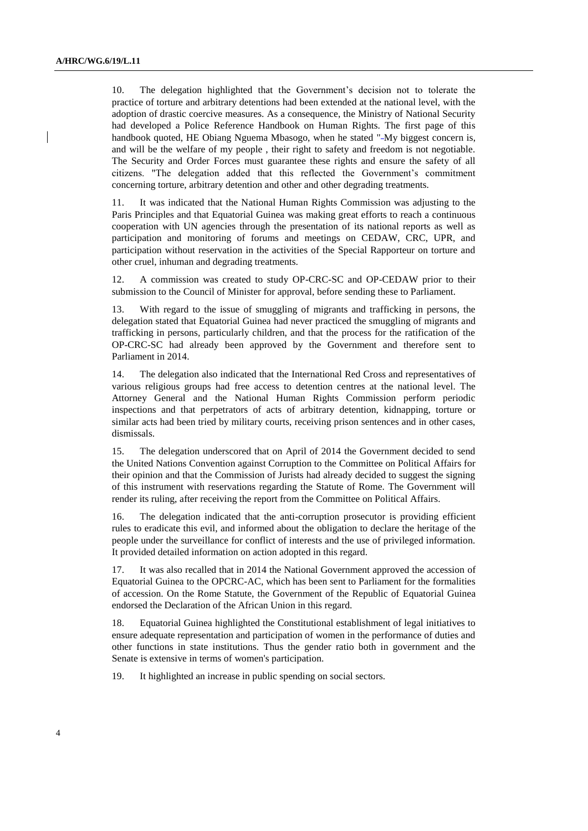10. The delegation highlighted that the Government's decision not to tolerate the practice of torture and arbitrary detentions had been extended at the national level, with the adoption of drastic coercive measures. As a consequence, the Ministry of National Security had developed a Police Reference Handbook on Human Rights. The first page of this handbook quoted, HE Obiang Nguema Mbasogo, when he stated "-My biggest concern is, and will be the welfare of my people , their right to safety and freedom is not negotiable. The Security and Order Forces must guarantee these rights and ensure the safety of all citizens. "The delegation added that this reflected the Government's commitment concerning torture, arbitrary detention and other and other degrading treatments.

11. It was indicated that the National Human Rights Commission was adjusting to the Paris Principles and that Equatorial Guinea was making great efforts to reach a continuous cooperation with UN agencies through the presentation of its national reports as well as participation and monitoring of forums and meetings on CEDAW, CRC, UPR, and participation without reservation in the activities of the Special Rapporteur on torture and other cruel, inhuman and degrading treatments.

12. A commission was created to study OP-CRC-SC and OP-CEDAW prior to their submission to the Council of Minister for approval, before sending these to Parliament.

13. With regard to the issue of smuggling of migrants and trafficking in persons, the delegation stated that Equatorial Guinea had never practiced the smuggling of migrants and trafficking in persons, particularly children, and that the process for the ratification of the OP-CRC-SC had already been approved by the Government and therefore sent to Parliament in 2014.

14. The delegation also indicated that the International Red Cross and representatives of various religious groups had free access to detention centres at the national level. The Attorney General and the National Human Rights Commission perform periodic inspections and that perpetrators of acts of arbitrary detention, kidnapping, torture or similar acts had been tried by military courts, receiving prison sentences and in other cases, dismissals.

15. The delegation underscored that on April of 2014 the Government decided to send the United Nations Convention against Corruption to the Committee on Political Affairs for their opinion and that the Commission of Jurists had already decided to suggest the signing of this instrument with reservations regarding the Statute of Rome. The Government will render its ruling, after receiving the report from the Committee on Political Affairs.

16. The delegation indicated that the anti-corruption prosecutor is providing efficient rules to eradicate this evil, and informed about the obligation to declare the heritage of the people under the surveillance for conflict of interests and the use of privileged information. It provided detailed information on action adopted in this regard.

17. It was also recalled that in 2014 the National Government approved the accession of Equatorial Guinea to the OPCRC-AC, which has been sent to Parliament for the formalities of accession. On the Rome Statute, the Government of the Republic of Equatorial Guinea endorsed the Declaration of the African Union in this regard.

18. Equatorial Guinea highlighted the Constitutional establishment of legal initiatives to ensure adequate representation and participation of women in the performance of duties and other functions in state institutions. Thus the gender ratio both in government and the Senate is extensive in terms of women's participation.

19. It highlighted an increase in public spending on social sectors.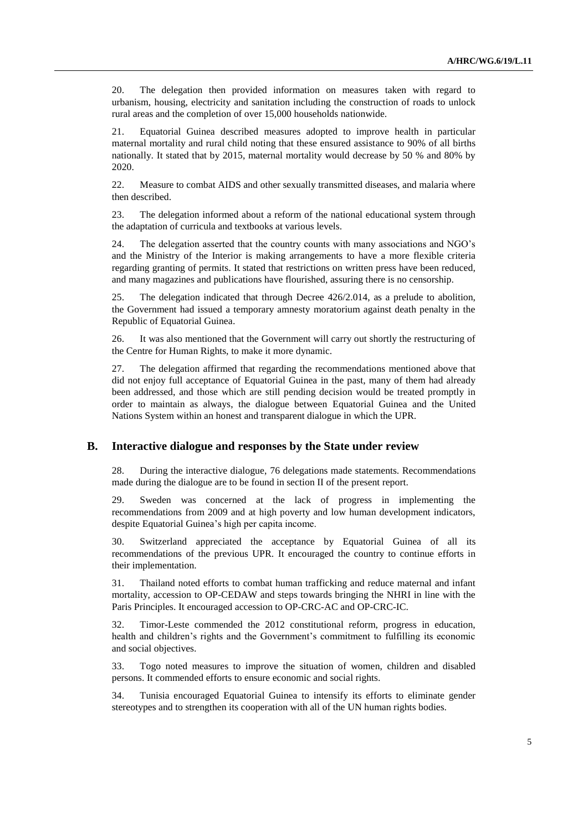20. The delegation then provided information on measures taken with regard to urbanism, housing, electricity and sanitation including the construction of roads to unlock rural areas and the completion of over 15,000 households nationwide.

21. Equatorial Guinea described measures adopted to improve health in particular maternal mortality and rural child noting that these ensured assistance to 90% of all births nationally. It stated that by 2015, maternal mortality would decrease by 50 % and 80% by 2020.

22. Measure to combat AIDS and other sexually transmitted diseases, and malaria where then described.

23. The delegation informed about a reform of the national educational system through the adaptation of curricula and textbooks at various levels.

24. The delegation asserted that the country counts with many associations and NGO's and the Ministry of the Interior is making arrangements to have a more flexible criteria regarding granting of permits. It stated that restrictions on written press have been reduced, and many magazines and publications have flourished, assuring there is no censorship.

25. The delegation indicated that through Decree 426/2.014, as a prelude to abolition, the Government had issued a temporary amnesty moratorium against death penalty in the Republic of Equatorial Guinea.

26. It was also mentioned that the Government will carry out shortly the restructuring of the Centre for Human Rights, to make it more dynamic.

27. The delegation affirmed that regarding the recommendations mentioned above that did not enjoy full acceptance of Equatorial Guinea in the past, many of them had already been addressed, and those which are still pending decision would be treated promptly in order to maintain as always, the dialogue between Equatorial Guinea and the United Nations System within an honest and transparent dialogue in which the UPR.

#### **B. Interactive dialogue and responses by the State under review**

28. During the interactive dialogue, 76 delegations made statements. Recommendations made during the dialogue are to be found in section II of the present report.

29. Sweden was concerned at the lack of progress in implementing the recommendations from 2009 and at high poverty and low human development indicators, despite Equatorial Guinea's high per capita income.

30. Switzerland appreciated the acceptance by Equatorial Guinea of all its recommendations of the previous UPR. It encouraged the country to continue efforts in their implementation.

31. Thailand noted efforts to combat human trafficking and reduce maternal and infant mortality, accession to OP-CEDAW and steps towards bringing the NHRI in line with the Paris Principles. It encouraged accession to OP-CRC-AC and OP-CRC-IC.

32. Timor-Leste commended the 2012 constitutional reform, progress in education, health and children's rights and the Government's commitment to fulfilling its economic and social objectives.

33. Togo noted measures to improve the situation of women, children and disabled persons. It commended efforts to ensure economic and social rights.

34. Tunisia encouraged Equatorial Guinea to intensify its efforts to eliminate gender stereotypes and to strengthen its cooperation with all of the UN human rights bodies.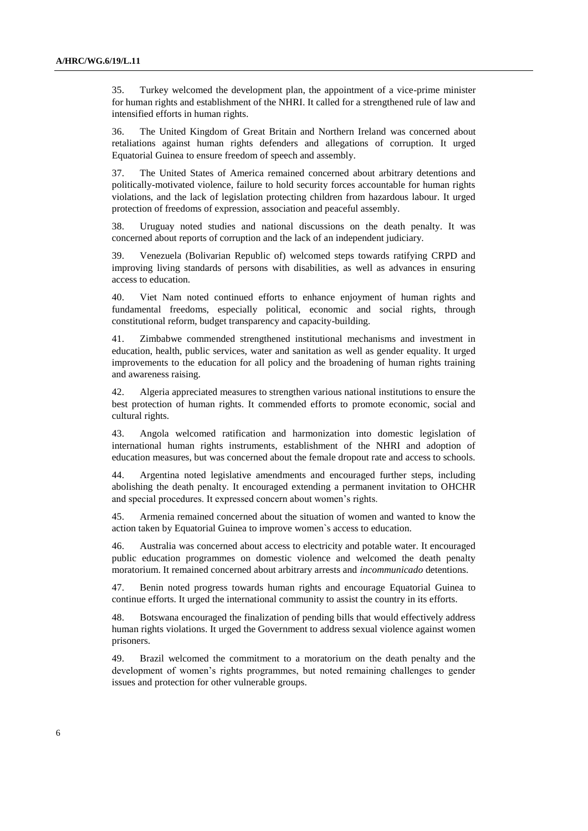35. Turkey welcomed the development plan, the appointment of a vice-prime minister for human rights and establishment of the NHRI. It called for a strengthened rule of law and intensified efforts in human rights.

36. The United Kingdom of Great Britain and Northern Ireland was concerned about retaliations against human rights defenders and allegations of corruption. It urged Equatorial Guinea to ensure freedom of speech and assembly.

37. The United States of America remained concerned about arbitrary detentions and politically-motivated violence, failure to hold security forces accountable for human rights violations, and the lack of legislation protecting children from hazardous labour. It urged protection of freedoms of expression, association and peaceful assembly.

38. Uruguay noted studies and national discussions on the death penalty. It was concerned about reports of corruption and the lack of an independent judiciary.

39. Venezuela (Bolivarian Republic of) welcomed steps towards ratifying CRPD and improving living standards of persons with disabilities, as well as advances in ensuring access to education.

40. Viet Nam noted continued efforts to enhance enjoyment of human rights and fundamental freedoms, especially political, economic and social rights, through constitutional reform, budget transparency and capacity-building.

41. Zimbabwe commended strengthened institutional mechanisms and investment in education, health, public services, water and sanitation as well as gender equality. It urged improvements to the education for all policy and the broadening of human rights training and awareness raising.

42. Algeria appreciated measures to strengthen various national institutions to ensure the best protection of human rights. It commended efforts to promote economic, social and cultural rights.

43. Angola welcomed ratification and harmonization into domestic legislation of international human rights instruments, establishment of the NHRI and adoption of education measures, but was concerned about the female dropout rate and access to schools.

44. Argentina noted legislative amendments and encouraged further steps, including abolishing the death penalty. It encouraged extending a permanent invitation to OHCHR and special procedures. It expressed concern about women's rights.

45. Armenia remained concerned about the situation of women and wanted to know the action taken by Equatorial Guinea to improve women`s access to education.

46. Australia was concerned about access to electricity and potable water. It encouraged public education programmes on domestic violence and welcomed the death penalty moratorium. It remained concerned about arbitrary arrests and *incommunicado* detentions.

47. Benin noted progress towards human rights and encourage Equatorial Guinea to continue efforts. It urged the international community to assist the country in its efforts.

48. Botswana encouraged the finalization of pending bills that would effectively address human rights violations. It urged the Government to address sexual violence against women prisoners.

49. Brazil welcomed the commitment to a moratorium on the death penalty and the development of women's rights programmes, but noted remaining challenges to gender issues and protection for other vulnerable groups.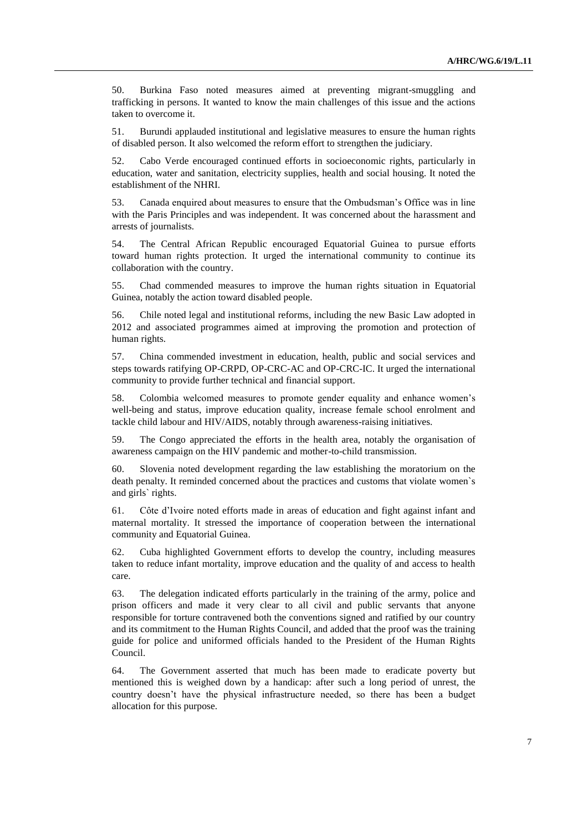50. Burkina Faso noted measures aimed at preventing migrant-smuggling and trafficking in persons. It wanted to know the main challenges of this issue and the actions taken to overcome it.

51. Burundi applauded institutional and legislative measures to ensure the human rights of disabled person. It also welcomed the reform effort to strengthen the judiciary.

52. Cabo Verde encouraged continued efforts in socioeconomic rights, particularly in education, water and sanitation, electricity supplies, health and social housing. It noted the establishment of the NHRI.

53. Canada enquired about measures to ensure that the Ombudsman's Office was in line with the Paris Principles and was independent. It was concerned about the harassment and arrests of journalists.

54. The Central African Republic encouraged Equatorial Guinea to pursue efforts toward human rights protection. It urged the international community to continue its collaboration with the country.

55. Chad commended measures to improve the human rights situation in Equatorial Guinea, notably the action toward disabled people.

56. Chile noted legal and institutional reforms, including the new Basic Law adopted in 2012 and associated programmes aimed at improving the promotion and protection of human rights.

57. China commended investment in education, health, public and social services and steps towards ratifying OP-CRPD, OP-CRC-AC and OP-CRC-IC. It urged the international community to provide further technical and financial support.

58. Colombia welcomed measures to promote gender equality and enhance women's well-being and status, improve education quality, increase female school enrolment and tackle child labour and HIV/AIDS, notably through awareness-raising initiatives.

59. The Congo appreciated the efforts in the health area, notably the organisation of awareness campaign on the HIV pandemic and mother-to-child transmission.

60. Slovenia noted development regarding the law establishing the moratorium on the death penalty. It reminded concerned about the practices and customs that violate women`s and girls` rights.

61. Côte d'Ivoire noted efforts made in areas of education and fight against infant and maternal mortality. It stressed the importance of cooperation between the international community and Equatorial Guinea.

62. Cuba highlighted Government efforts to develop the country, including measures taken to reduce infant mortality, improve education and the quality of and access to health care.

63. The delegation indicated efforts particularly in the training of the army, police and prison officers and made it very clear to all civil and public servants that anyone responsible for torture contravened both the conventions signed and ratified by our country and its commitment to the Human Rights Council, and added that the proof was the training guide for police and uniformed officials handed to the President of the Human Rights Council.

64. The Government asserted that much has been made to eradicate poverty but mentioned this is weighed down by a handicap: after such a long period of unrest, the country doesn't have the physical infrastructure needed, so there has been a budget allocation for this purpose.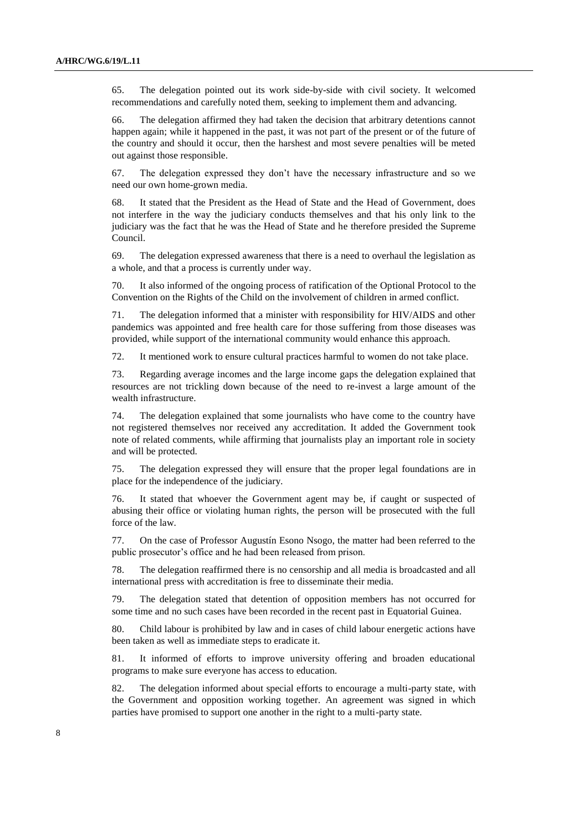65. The delegation pointed out its work side-by-side with civil society. It welcomed recommendations and carefully noted them, seeking to implement them and advancing.

66. The delegation affirmed they had taken the decision that arbitrary detentions cannot happen again; while it happened in the past, it was not part of the present or of the future of the country and should it occur, then the harshest and most severe penalties will be meted out against those responsible.

67. The delegation expressed they don't have the necessary infrastructure and so we need our own home-grown media.

68. It stated that the President as the Head of State and the Head of Government, does not interfere in the way the judiciary conducts themselves and that his only link to the judiciary was the fact that he was the Head of State and he therefore presided the Supreme Council.

69. The delegation expressed awareness that there is a need to overhaul the legislation as a whole, and that a process is currently under way.

70. It also informed of the ongoing process of ratification of the Optional Protocol to the Convention on the Rights of the Child on the involvement of children in armed conflict.

71. The delegation informed that a minister with responsibility for HIV/AIDS and other pandemics was appointed and free health care for those suffering from those diseases was provided, while support of the international community would enhance this approach.

72. It mentioned work to ensure cultural practices harmful to women do not take place.

73. Regarding average incomes and the large income gaps the delegation explained that resources are not trickling down because of the need to re-invest a large amount of the wealth infrastructure.

74. The delegation explained that some journalists who have come to the country have not registered themselves nor received any accreditation. It added the Government took note of related comments, while affirming that journalists play an important role in society and will be protected.

75. The delegation expressed they will ensure that the proper legal foundations are in place for the independence of the judiciary.

76. It stated that whoever the Government agent may be, if caught or suspected of abusing their office or violating human rights, the person will be prosecuted with the full force of the law.

77. On the case of Professor Augustín Esono Nsogo, the matter had been referred to the public prosecutor's office and he had been released from prison.

78. The delegation reaffirmed there is no censorship and all media is broadcasted and all international press with accreditation is free to disseminate their media.

79. The delegation stated that detention of opposition members has not occurred for some time and no such cases have been recorded in the recent past in Equatorial Guinea.

80. Child labour is prohibited by law and in cases of child labour energetic actions have been taken as well as immediate steps to eradicate it.

81. It informed of efforts to improve university offering and broaden educational programs to make sure everyone has access to education.

82. The delegation informed about special efforts to encourage a multi-party state, with the Government and opposition working together. An agreement was signed in which parties have promised to support one another in the right to a multi-party state.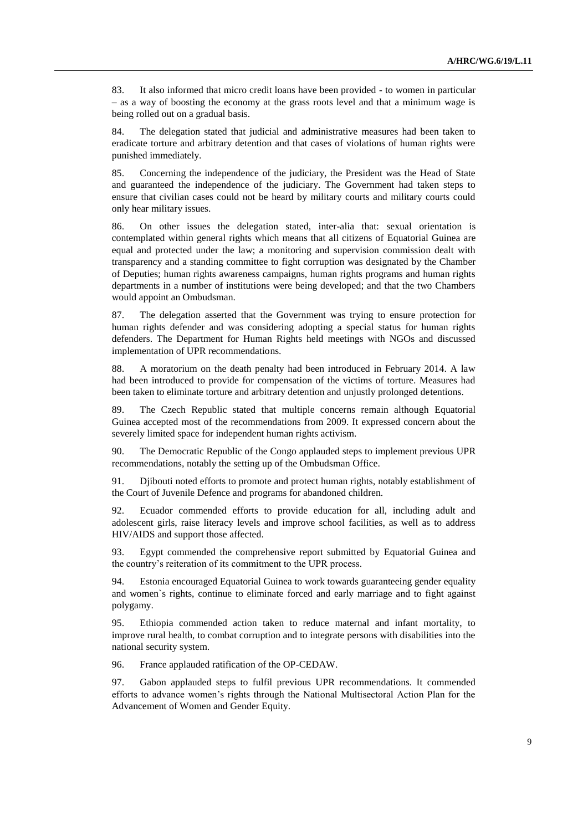83. It also informed that micro credit loans have been provided - to women in particular – as a way of boosting the economy at the grass roots level and that a minimum wage is being rolled out on a gradual basis.

84. The delegation stated that judicial and administrative measures had been taken to eradicate torture and arbitrary detention and that cases of violations of human rights were punished immediately.

85. Concerning the independence of the judiciary, the President was the Head of State and guaranteed the independence of the judiciary. The Government had taken steps to ensure that civilian cases could not be heard by military courts and military courts could only hear military issues.

86. On other issues the delegation stated, inter-alia that: sexual orientation is contemplated within general rights which means that all citizens of Equatorial Guinea are equal and protected under the law; a monitoring and supervision commission dealt with transparency and a standing committee to fight corruption was designated by the Chamber of Deputies; human rights awareness campaigns, human rights programs and human rights departments in a number of institutions were being developed; and that the two Chambers would appoint an Ombudsman.

87. The delegation asserted that the Government was trying to ensure protection for human rights defender and was considering adopting a special status for human rights defenders. The Department for Human Rights held meetings with NGOs and discussed implementation of UPR recommendations.

88. A moratorium on the death penalty had been introduced in February 2014. A law had been introduced to provide for compensation of the victims of torture. Measures had been taken to eliminate torture and arbitrary detention and unjustly prolonged detentions.

89. The Czech Republic stated that multiple concerns remain although Equatorial Guinea accepted most of the recommendations from 2009. It expressed concern about the severely limited space for independent human rights activism.

90. The Democratic Republic of the Congo applauded steps to implement previous UPR recommendations, notably the setting up of the Ombudsman Office.

91. Djibouti noted efforts to promote and protect human rights, notably establishment of the Court of Juvenile Defence and programs for abandoned children.

92. Ecuador commended efforts to provide education for all, including adult and adolescent girls, raise literacy levels and improve school facilities, as well as to address HIV/AIDS and support those affected.

93. Egypt commended the comprehensive report submitted by Equatorial Guinea and the country's reiteration of its commitment to the UPR process.

94. Estonia encouraged Equatorial Guinea to work towards guaranteeing gender equality and women`s rights, continue to eliminate forced and early marriage and to fight against polygamy.

95. Ethiopia commended action taken to reduce maternal and infant mortality, to improve rural health, to combat corruption and to integrate persons with disabilities into the national security system.

96. France applauded ratification of the OP-CEDAW.

97. Gabon applauded steps to fulfil previous UPR recommendations. It commended efforts to advance women's rights through the National Multisectoral Action Plan for the Advancement of Women and Gender Equity.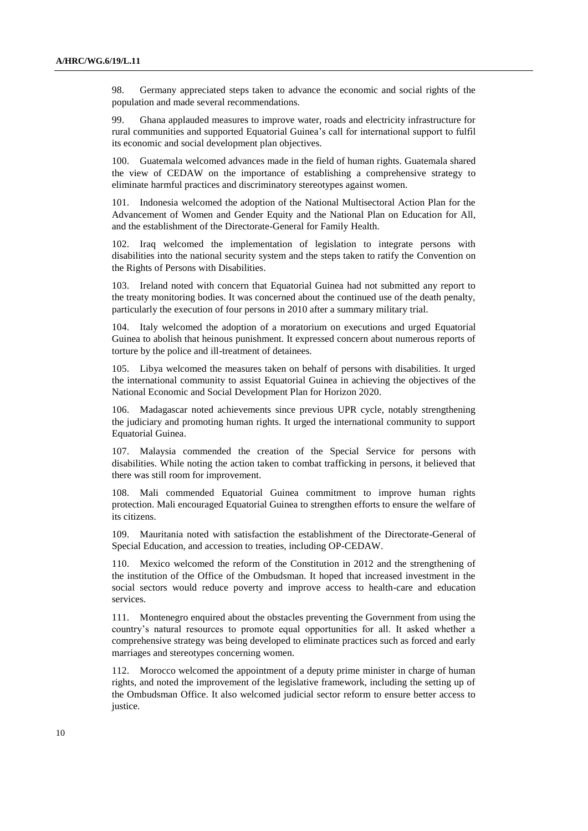98. Germany appreciated steps taken to advance the economic and social rights of the population and made several recommendations.

99. Ghana applauded measures to improve water, roads and electricity infrastructure for rural communities and supported Equatorial Guinea's call for international support to fulfil its economic and social development plan objectives.

100. Guatemala welcomed advances made in the field of human rights. Guatemala shared the view of CEDAW on the importance of establishing a comprehensive strategy to eliminate harmful practices and discriminatory stereotypes against women.

101. Indonesia welcomed the adoption of the National Multisectoral Action Plan for the Advancement of Women and Gender Equity and the National Plan on Education for All, and the establishment of the Directorate-General for Family Health.

102. Iraq welcomed the implementation of legislation to integrate persons with disabilities into the national security system and the steps taken to ratify the Convention on the Rights of Persons with Disabilities.

103. Ireland noted with concern that Equatorial Guinea had not submitted any report to the treaty monitoring bodies. It was concerned about the continued use of the death penalty, particularly the execution of four persons in 2010 after a summary military trial.

104. Italy welcomed the adoption of a moratorium on executions and urged Equatorial Guinea to abolish that heinous punishment. It expressed concern about numerous reports of torture by the police and ill-treatment of detainees.

105. Libya welcomed the measures taken on behalf of persons with disabilities. It urged the international community to assist Equatorial Guinea in achieving the objectives of the National Economic and Social Development Plan for Horizon 2020.

Madagascar noted achievements since previous UPR cycle, notably strengthening the judiciary and promoting human rights. It urged the international community to support Equatorial Guinea.

107. Malaysia commended the creation of the Special Service for persons with disabilities. While noting the action taken to combat trafficking in persons, it believed that there was still room for improvement.

108. Mali commended Equatorial Guinea commitment to improve human rights protection. Mali encouraged Equatorial Guinea to strengthen efforts to ensure the welfare of its citizens.

109. Mauritania noted with satisfaction the establishment of the Directorate-General of Special Education, and accession to treaties, including OP-CEDAW.

110. Mexico welcomed the reform of the Constitution in 2012 and the strengthening of the institution of the Office of the Ombudsman. It hoped that increased investment in the social sectors would reduce poverty and improve access to health-care and education services.

111. Montenegro enquired about the obstacles preventing the Government from using the country's natural resources to promote equal opportunities for all. It asked whether a comprehensive strategy was being developed to eliminate practices such as forced and early marriages and stereotypes concerning women.

112. Morocco welcomed the appointment of a deputy prime minister in charge of human rights, and noted the improvement of the legislative framework, including the setting up of the Ombudsman Office. It also welcomed judicial sector reform to ensure better access to justice.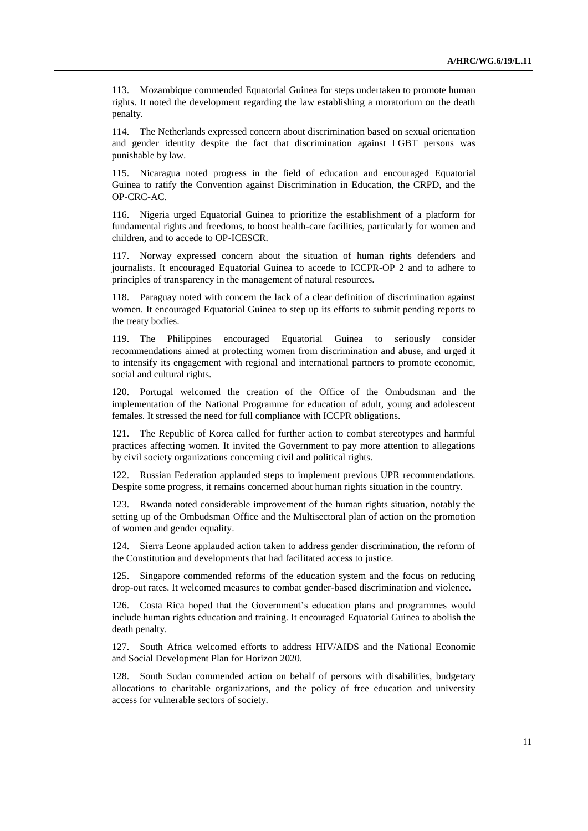113. Mozambique commended Equatorial Guinea for steps undertaken to promote human rights. It noted the development regarding the law establishing a moratorium on the death penalty.

114. The Netherlands expressed concern about discrimination based on sexual orientation and gender identity despite the fact that discrimination against LGBT persons was punishable by law.

115. Nicaragua noted progress in the field of education and encouraged Equatorial Guinea to ratify the Convention against Discrimination in Education, the CRPD, and the OP-CRC-AC.

116. Nigeria urged Equatorial Guinea to prioritize the establishment of a platform for fundamental rights and freedoms, to boost health-care facilities, particularly for women and children, and to accede to OP-ICESCR.

117. Norway expressed concern about the situation of human rights defenders and journalists. It encouraged Equatorial Guinea to accede to ICCPR-OP 2 and to adhere to principles of transparency in the management of natural resources.

118. Paraguay noted with concern the lack of a clear definition of discrimination against women. It encouraged Equatorial Guinea to step up its efforts to submit pending reports to the treaty bodies.

119. The Philippines encouraged Equatorial Guinea to seriously consider recommendations aimed at protecting women from discrimination and abuse, and urged it to intensify its engagement with regional and international partners to promote economic, social and cultural rights.

120. Portugal welcomed the creation of the Office of the Ombudsman and the implementation of the National Programme for education of adult, young and adolescent females. It stressed the need for full compliance with ICCPR obligations.

121. The Republic of Korea called for further action to combat stereotypes and harmful practices affecting women. It invited the Government to pay more attention to allegations by civil society organizations concerning civil and political rights.

122. Russian Federation applauded steps to implement previous UPR recommendations. Despite some progress, it remains concerned about human rights situation in the country.

123. Rwanda noted considerable improvement of the human rights situation, notably the setting up of the Ombudsman Office and the Multisectoral plan of action on the promotion of women and gender equality.

124. Sierra Leone applauded action taken to address gender discrimination, the reform of the Constitution and developments that had facilitated access to justice.

125. Singapore commended reforms of the education system and the focus on reducing drop-out rates. It welcomed measures to combat gender-based discrimination and violence.

126. Costa Rica hoped that the Government's education plans and programmes would include human rights education and training. It encouraged Equatorial Guinea to abolish the death penalty.

127. South Africa welcomed efforts to address HIV/AIDS and the National Economic and Social Development Plan for Horizon 2020.

128. South Sudan commended action on behalf of persons with disabilities, budgetary allocations to charitable organizations, and the policy of free education and university access for vulnerable sectors of society.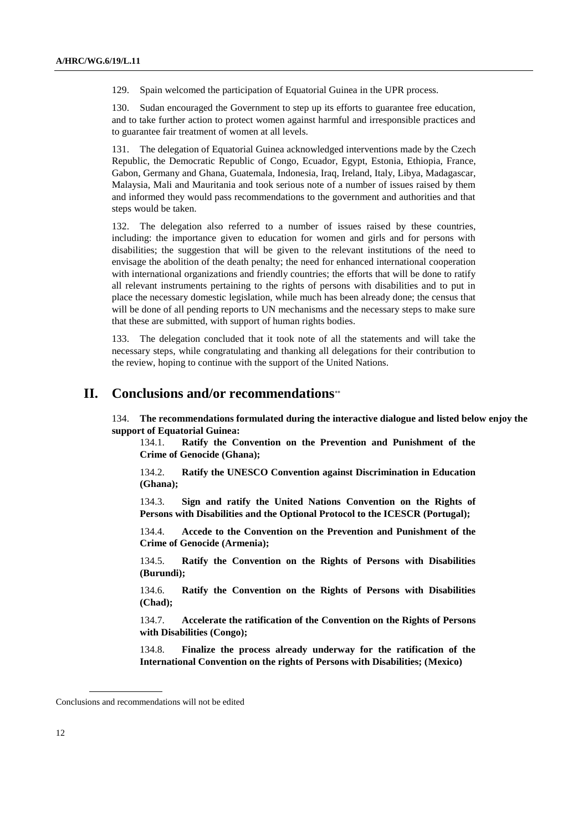129. Spain welcomed the participation of Equatorial Guinea in the UPR process.

130. Sudan encouraged the Government to step up its efforts to guarantee free education, and to take further action to protect women against harmful and irresponsible practices and to guarantee fair treatment of women at all levels.

131. The delegation of Equatorial Guinea acknowledged interventions made by the Czech Republic, the Democratic Republic of Congo, Ecuador, Egypt, Estonia, Ethiopia, France, Gabon, Germany and Ghana, Guatemala, Indonesia, Iraq, Ireland, Italy, Libya, Madagascar, Malaysia, Mali and Mauritania and took serious note of a number of issues raised by them and informed they would pass recommendations to the government and authorities and that steps would be taken.

132. The delegation also referred to a number of issues raised by these countries, including: the importance given to education for women and girls and for persons with disabilities; the suggestion that will be given to the relevant institutions of the need to envisage the abolition of the death penalty; the need for enhanced international cooperation with international organizations and friendly countries; the efforts that will be done to ratify all relevant instruments pertaining to the rights of persons with disabilities and to put in place the necessary domestic legislation, while much has been already done; the census that will be done of all pending reports to UN mechanisms and the necessary steps to make sure that these are submitted, with support of human rights bodies.

133. The delegation concluded that it took note of all the statements and will take the necessary steps, while congratulating and thanking all delegations for their contribution to the review, hoping to continue with the support of the United Nations.

# **II. Conclusions and/or recommendations**

134. **The recommendations formulated during the interactive dialogue and listed below enjoy the support of Equatorial Guinea:**

134.1. **Ratify the Convention on the Prevention and Punishment of the Crime of Genocide (Ghana);**

134.2. **Ratify the UNESCO Convention against Discrimination in Education (Ghana);**

134.3. **Sign and ratify the United Nations Convention on the Rights of Persons with Disabilities and the Optional Protocol to the ICESCR (Portugal);**

134.4. **Accede to the Convention on the Prevention and Punishment of the Crime of Genocide (Armenia);**

134.5. **Ratify the Convention on the Rights of Persons with Disabilities (Burundi);**

134.6. **Ratify the Convention on the Rights of Persons with Disabilities (Chad);**

134.7. **Accelerate the ratification of the Convention on the Rights of Persons with Disabilities (Congo);** 

134.8. **Finalize the process already underway for the ratification of the International Convention on the rights of Persons with Disabilities; (Mexico)**

Conclusions and recommendations will not be edited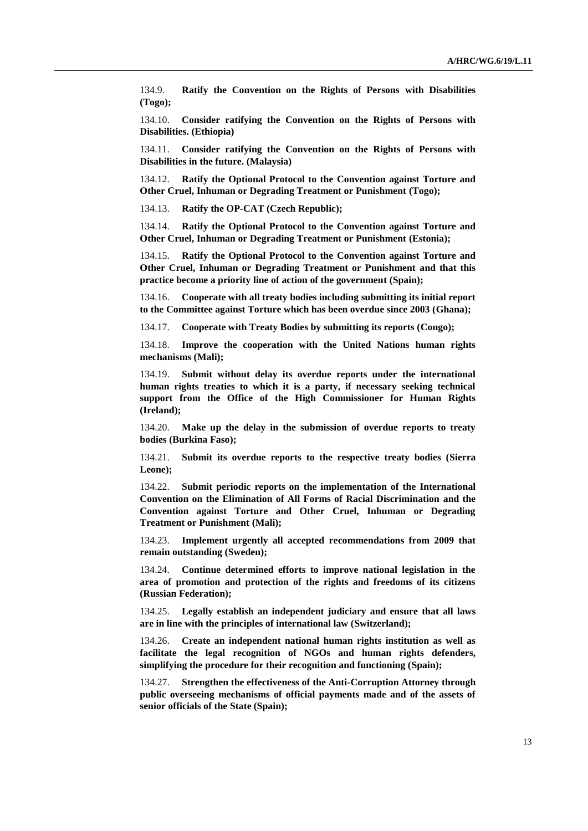134.9. **Ratify the Convention on the Rights of Persons with Disabilities (Togo);**

134.10. **Consider ratifying the Convention on the Rights of Persons with Disabilities. (Ethiopia)**

134.11. **Consider ratifying the Convention on the Rights of Persons with Disabilities in the future. (Malaysia)**

134.12. **Ratify the Optional Protocol to the Convention against Torture and Other Cruel, Inhuman or Degrading Treatment or Punishment (Togo);**

134.13. **Ratify the OP-CAT (Czech Republic);**

134.14. **Ratify the Optional Protocol to the Convention against Torture and Other Cruel, Inhuman or Degrading Treatment or Punishment (Estonia);**

134.15. **Ratify the Optional Protocol to the Convention against Torture and Other Cruel, Inhuman or Degrading Treatment or Punishment and that this practice become a priority line of action of the government (Spain);**

134.16. **Cooperate with all treaty bodies including submitting its initial report to the Committee against Torture which has been overdue since 2003 (Ghana);**

134.17. **Cooperate with Treaty Bodies by submitting its reports (Congo);**

134.18. **Improve the cooperation with the United Nations human rights mechanisms (Mali);**

134.19. **Submit without delay its overdue reports under the international human rights treaties to which it is a party, if necessary seeking technical support from the Office of the High Commissioner for Human Rights (Ireland);**

134.20. **Make up the delay in the submission of overdue reports to treaty bodies (Burkina Faso);**

134.21. **Submit its overdue reports to the respective treaty bodies (Sierra Leone);**

134.22. **Submit periodic reports on the implementation of the International Convention on the Elimination of All Forms of Racial Discrimination and the Convention against Torture and Other Cruel, Inhuman or Degrading Treatment or Punishment (Mali);**

134.23. **Implement urgently all accepted recommendations from 2009 that remain outstanding (Sweden);**

134.24. **Continue determined efforts to improve national legislation in the area of promotion and protection of the rights and freedoms of its citizens (Russian Federation);**

134.25. **Legally establish an independent judiciary and ensure that all laws are in line with the principles of international law (Switzerland);**

134.26. **Create an independent national human rights institution as well as facilitate the legal recognition of NGOs and human rights defenders, simplifying the procedure for their recognition and functioning (Spain);**

134.27. **Strengthen the effectiveness of the Anti-Corruption Attorney through public overseeing mechanisms of official payments made and of the assets of senior officials of the State (Spain);**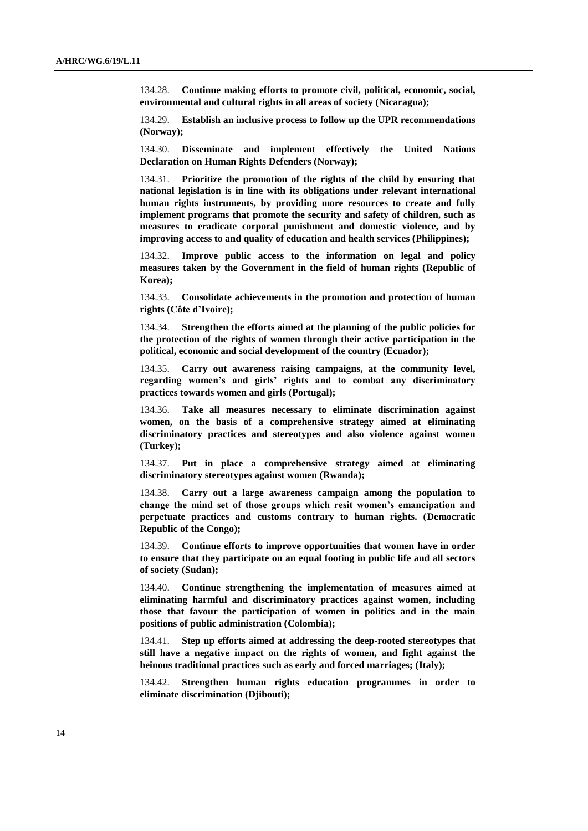134.28. **Continue making efforts to promote civil, political, economic, social, environmental and cultural rights in all areas of society (Nicaragua);**

134.29. **Establish an inclusive process to follow up the UPR recommendations (Norway);**

134.30. **Disseminate and implement effectively the United Nations Declaration on Human Rights Defenders (Norway);**

134.31. **Prioritize the promotion of the rights of the child by ensuring that national legislation is in line with its obligations under relevant international human rights instruments, by providing more resources to create and fully implement programs that promote the security and safety of children, such as measures to eradicate corporal punishment and domestic violence, and by improving access to and quality of education and health services (Philippines);**

134.32. **Improve public access to the information on legal and policy measures taken by the Government in the field of human rights (Republic of Korea);**

134.33. **Consolidate achievements in the promotion and protection of human rights (Côte d'Ivoire);**

134.34. **Strengthen the efforts aimed at the planning of the public policies for the protection of the rights of women through their active participation in the political, economic and social development of the country (Ecuador);** 

134.35. **Carry out awareness raising campaigns, at the community level, regarding women's and girls' rights and to combat any discriminatory practices towards women and girls (Portugal);**

134.36. **Take all measures necessary to eliminate discrimination against women, on the basis of a comprehensive strategy aimed at eliminating discriminatory practices and stereotypes and also violence against women (Turkey);**

134.37. **Put in place a comprehensive strategy aimed at eliminating discriminatory stereotypes against women (Rwanda);**

134.38. **Carry out a large awareness campaign among the population to change the mind set of those groups which resit women's emancipation and perpetuate practices and customs contrary to human rights. (Democratic Republic of the Congo);**

134.39. **Continue efforts to improve opportunities that women have in order to ensure that they participate on an equal footing in public life and all sectors of society (Sudan);**

134.40. **Continue strengthening the implementation of measures aimed at eliminating harmful and discriminatory practices against women, including those that favour the participation of women in politics and in the main positions of public administration (Colombia);**

134.41. **Step up efforts aimed at addressing the deep-rooted stereotypes that still have a negative impact on the rights of women, and fight against the heinous traditional practices such as early and forced marriages; (Italy);**

134.42. **Strengthen human rights education programmes in order to eliminate discrimination (Djibouti);**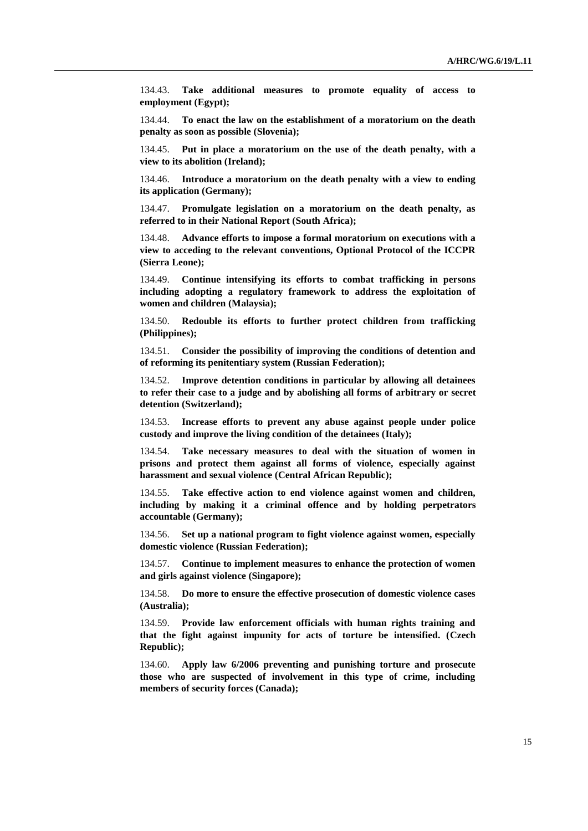134.43. **Take additional measures to promote equality of access to employment (Egypt);**

134.44. **To enact the law on the establishment of a moratorium on the death penalty as soon as possible (Slovenia);**

134.45. **Put in place a moratorium on the use of the death penalty, with a view to its abolition (Ireland);**

134.46. **Introduce a moratorium on the death penalty with a view to ending its application (Germany);**

134.47. **Promulgate legislation on a moratorium on the death penalty, as referred to in their National Report (South Africa);**

134.48. **Advance efforts to impose a formal moratorium on executions with a view to acceding to the relevant conventions, Optional Protocol of the ICCPR (Sierra Leone);**

134.49. **Continue intensifying its efforts to combat trafficking in persons including adopting a regulatory framework to address the exploitation of women and children (Malaysia);**

134.50. **Redouble its efforts to further protect children from trafficking (Philippines);**

134.51. **Consider the possibility of improving the conditions of detention and of reforming its penitentiary system (Russian Federation);**

134.52. **Improve detention conditions in particular by allowing all detainees to refer their case to a judge and by abolishing all forms of arbitrary or secret detention (Switzerland);**

134.53. **Increase efforts to prevent any abuse against people under police custody and improve the living condition of the detainees (Italy);**

134.54. **Take necessary measures to deal with the situation of women in prisons and protect them against all forms of violence, especially against harassment and sexual violence (Central African Republic);**

134.55. **Take effective action to end violence against women and children, including by making it a criminal offence and by holding perpetrators accountable (Germany);**

134.56. **Set up a national program to fight violence against women, especially domestic violence (Russian Federation);**

134.57. **Continue to implement measures to enhance the protection of women and girls against violence (Singapore);**

134.58. **Do more to ensure the effective prosecution of domestic violence cases (Australia);**

134.59. **Provide law enforcement officials with human rights training and that the fight against impunity for acts of torture be intensified. (Czech Republic);**

134.60. **Apply law 6/2006 preventing and punishing torture and prosecute those who are suspected of involvement in this type of crime, including members of security forces (Canada);**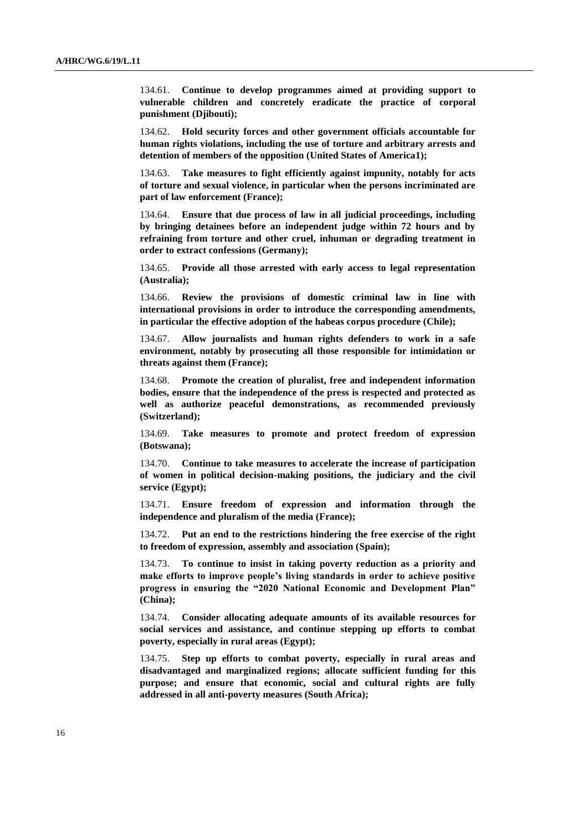134.61. **Continue to develop programmes aimed at providing support to vulnerable children and concretely eradicate the practice of corporal punishment (Djibouti);**

134.62. **Hold security forces and other government officials accountable for human rights violations, including the use of torture and arbitrary arrests and detention of members of the opposition (United States of America1);**

134.63. **Take measures to fight efficiently against impunity, notably for acts of torture and sexual violence, in particular when the persons incriminated are part of law enforcement (France);**

134.64. **Ensure that due process of law in all judicial proceedings, including by bringing detainees before an independent judge within 72 hours and by refraining from torture and other cruel, inhuman or degrading treatment in order to extract confessions (Germany);**

134.65. **Provide all those arrested with early access to legal representation (Australia);**

134.66. **Review the provisions of domestic criminal law in line with international provisions in order to introduce the corresponding amendments, in particular the effective adoption of the habeas corpus procedure (Chile);**

134.67. **Allow journalists and human rights defenders to work in a safe environment, notably by prosecuting all those responsible for intimidation or threats against them (France);**

134.68. **Promote the creation of pluralist, free and independent information bodies, ensure that the independence of the press is respected and protected as well as authorize peaceful demonstrations, as recommended previously (Switzerland);**

134.69. **Take measures to promote and protect freedom of expression (Botswana);**

134.70. **Continue to take measures to accelerate the increase of participation of women in political decision-making positions, the judiciary and the civil service (Egypt);**

134.71. **Ensure freedom of expression and information through the independence and pluralism of the media (France);**

134.72. **Put an end to the restrictions hindering the free exercise of the right to freedom of expression, assembly and association (Spain);**

134.73. **To continue to insist in taking poverty reduction as a priority and make efforts to improve people's living standards in order to achieve positive progress in ensuring the "2020 National Economic and Development Plan" (China);**

134.74. **Consider allocating adequate amounts of its available resources for social services and assistance, and continue stepping up efforts to combat poverty, especially in rural areas (Egypt);**

134.75. **Step up efforts to combat poverty, especially in rural areas and disadvantaged and marginalized regions; allocate sufficient funding for this purpose; and ensure that economic, social and cultural rights are fully addressed in all anti-poverty measures (South Africa);**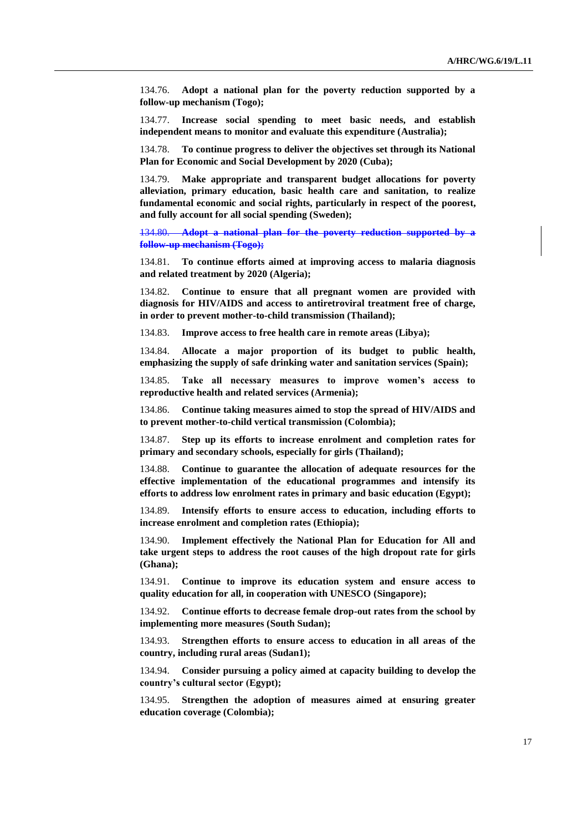134.76. **Adopt a national plan for the poverty reduction supported by a follow-up mechanism (Togo);**

134.77. **Increase social spending to meet basic needs, and establish independent means to monitor and evaluate this expenditure (Australia);**

134.78. **To continue progress to deliver the objectives set through its National Plan for Economic and Social Development by 2020 (Cuba);** 

134.79. **Make appropriate and transparent budget allocations for poverty alleviation, primary education, basic health care and sanitation, to realize fundamental economic and social rights, particularly in respect of the poorest, and fully account for all social spending (Sweden);**

134.80. **Adopt a national plan for the poverty reduction supported by a follow-up mechanism (Togo);**

134.81. **To continue efforts aimed at improving access to malaria diagnosis and related treatment by 2020 (Algeria);**

134.82. **Continue to ensure that all pregnant women are provided with diagnosis for HIV/AIDS and access to antiretroviral treatment free of charge, in order to prevent mother-to-child transmission (Thailand);**

134.83. **Improve access to free health care in remote areas (Libya);**

134.84. **Allocate a major proportion of its budget to public health, emphasizing the supply of safe drinking water and sanitation services (Spain);**

134.85. **Take all necessary measures to improve women's access to reproductive health and related services (Armenia);**

134.86. **Continue taking measures aimed to stop the spread of HIV/AIDS and to prevent mother-to-child vertical transmission (Colombia);**

134.87. **Step up its efforts to increase enrolment and completion rates for primary and secondary schools, especially for girls (Thailand);**

134.88. **Continue to guarantee the allocation of adequate resources for the effective implementation of the educational programmes and intensify its efforts to address low enrolment rates in primary and basic education (Egypt);**

134.89. **Intensify efforts to ensure access to education, including efforts to increase enrolment and completion rates (Ethiopia);**

134.90. **Implement effectively the National Plan for Education for All and take urgent steps to address the root causes of the high dropout rate for girls (Ghana);**

134.91. **Continue to improve its education system and ensure access to quality education for all, in cooperation with UNESCO (Singapore);**

134.92. **Continue efforts to decrease female drop-out rates from the school by implementing more measures (South Sudan);** 

134.93. **Strengthen efforts to ensure access to education in all areas of the country, including rural areas (Sudan1);**

134.94. **Consider pursuing a policy aimed at capacity building to develop the country's cultural sector (Egypt);**

134.95. **Strengthen the adoption of measures aimed at ensuring greater education coverage (Colombia);**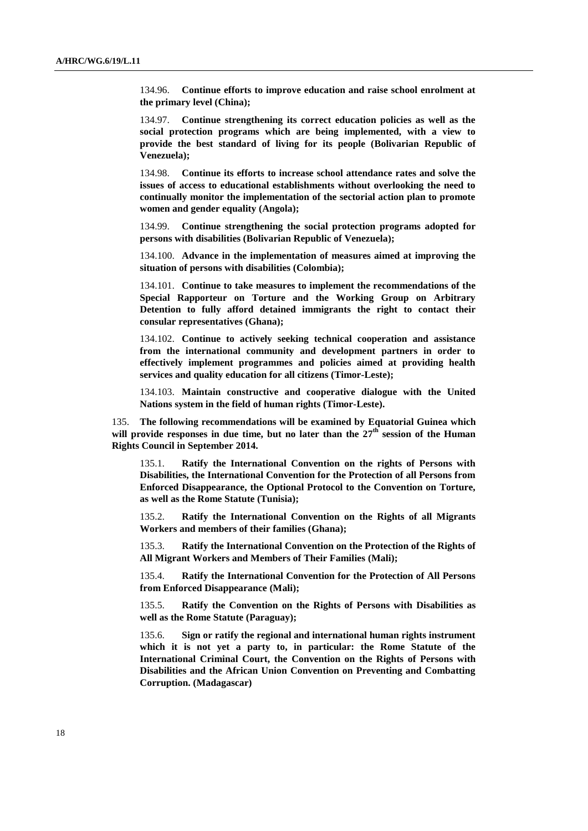134.96. **Continue efforts to improve education and raise school enrolment at the primary level (China);**

134.97. **Continue strengthening its correct education policies as well as the social protection programs which are being implemented, with a view to provide the best standard of living for its people (Bolivarian Republic of Venezuela);**

134.98. **Continue its efforts to increase school attendance rates and solve the issues of access to educational establishments without overlooking the need to continually monitor the implementation of the sectorial action plan to promote women and gender equality (Angola);**

134.99. **Continue strengthening the social protection programs adopted for persons with disabilities (Bolivarian Republic of Venezuela);**

134.100. **Advance in the implementation of measures aimed at improving the situation of persons with disabilities (Colombia);**

134.101. **Continue to take measures to implement the recommendations of the Special Rapporteur on Torture and the Working Group on Arbitrary Detention to fully afford detained immigrants the right to contact their consular representatives (Ghana);**

134.102. **Continue to actively seeking technical cooperation and assistance from the international community and development partners in order to effectively implement programmes and policies aimed at providing health services and quality education for all citizens (Timor-Leste);**

134.103. **Maintain constructive and cooperative dialogue with the United Nations system in the field of human rights (Timor-Leste).**

135. **The following recommendations will be examined by Equatorial Guinea which**  will provide responses in due time, but no later than the  $27<sup>th</sup>$  session of the Human **Rights Council in September 2014.** 

135.1. **Ratify the International Convention on the rights of Persons with Disabilities, the International Convention for the Protection of all Persons from Enforced Disappearance, the Optional Protocol to the Convention on Torture, as well as the Rome Statute (Tunisia);**

135.2. **Ratify the International Convention on the Rights of all Migrants Workers and members of their families (Ghana);**

135.3. **Ratify the International Convention on the Protection of the Rights of All Migrant Workers and Members of Their Families (Mali);**

135.4. **Ratify the International Convention for the Protection of All Persons from Enforced Disappearance (Mali);**

135.5. **Ratify the Convention on the Rights of Persons with Disabilities as well as the Rome Statute (Paraguay);**

135.6. **Sign or ratify the regional and international human rights instrument which it is not yet a party to, in particular: the Rome Statute of the International Criminal Court, the Convention on the Rights of Persons with Disabilities and the African Union Convention on Preventing and Combatting Corruption. (Madagascar)**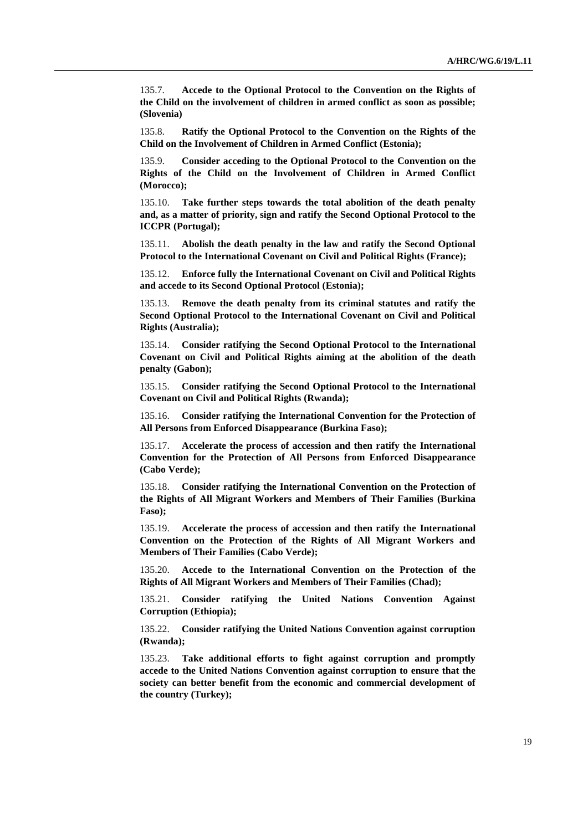135.7. **Accede to the Optional Protocol to the Convention on the Rights of the Child on the involvement of children in armed conflict as soon as possible; (Slovenia)**

135.8. **Ratify the Optional Protocol to the Convention on the Rights of the Child on the Involvement of Children in Armed Conflict (Estonia);**

135.9. **Consider acceding to the Optional Protocol to the Convention on the Rights of the Child on the Involvement of Children in Armed Conflict (Morocco);**

135.10. **Take further steps towards the total abolition of the death penalty and, as a matter of priority, sign and ratify the Second Optional Protocol to the ICCPR (Portugal);**

135.11. **Abolish the death penalty in the law and ratify the Second Optional Protocol to the International Covenant on Civil and Political Rights (France);**

135.12. **Enforce fully the International Covenant on Civil and Political Rights and accede to its Second Optional Protocol (Estonia);**

135.13. **Remove the death penalty from its criminal statutes and ratify the Second Optional Protocol to the International Covenant on Civil and Political Rights (Australia);**

135.14. **Consider ratifying the Second Optional Protocol to the International Covenant on Civil and Political Rights aiming at the abolition of the death penalty (Gabon);**

135.15. **Consider ratifying the Second Optional Protocol to the International Covenant on Civil and Political Rights (Rwanda);**

135.16. **Consider ratifying the International Convention for the Protection of All Persons from Enforced Disappearance (Burkina Faso);**

135.17. **Accelerate the process of accession and then ratify the International Convention for the Protection of All Persons from Enforced Disappearance (Cabo Verde);**

135.18. **Consider ratifying the International Convention on the Protection of the Rights of All Migrant Workers and Members of Their Families (Burkina Faso);**

135.19. **Accelerate the process of accession and then ratify the International Convention on the Protection of the Rights of All Migrant Workers and Members of Their Families (Cabo Verde);**

135.20. **Accede to the International Convention on the Protection of the Rights of All Migrant Workers and Members of Their Families (Chad);**

135.21. **Consider ratifying the United Nations Convention Against Corruption (Ethiopia);**

135.22. **Consider ratifying the United Nations Convention against corruption (Rwanda);**

135.23. **Take additional efforts to fight against corruption and promptly accede to the United Nations Convention against corruption to ensure that the society can better benefit from the economic and commercial development of the country (Turkey);**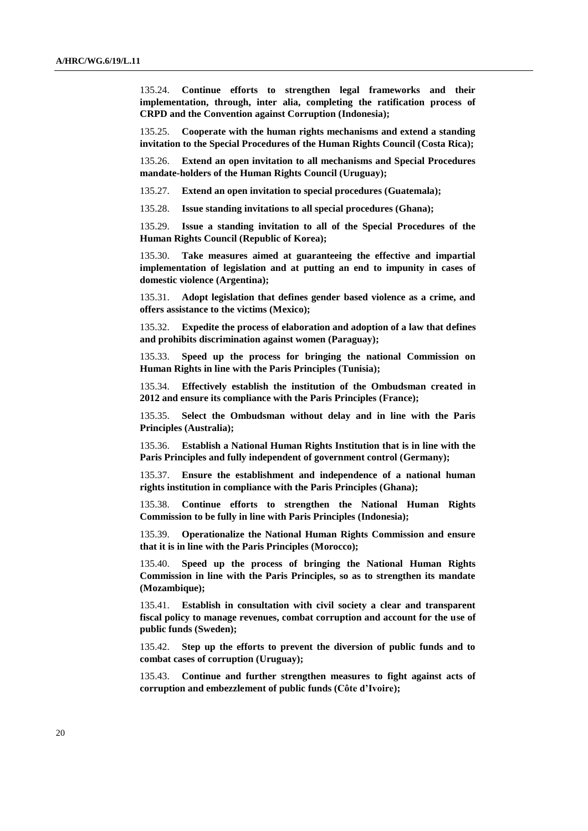135.24. **Continue efforts to strengthen legal frameworks and their implementation, through, inter alia, completing the ratification process of CRPD and the Convention against Corruption (Indonesia);**

135.25. **Cooperate with the human rights mechanisms and extend a standing invitation to the Special Procedures of the Human Rights Council (Costa Rica);**

135.26. **Extend an open invitation to all mechanisms and Special Procedures mandate-holders of the Human Rights Council (Uruguay);**

135.27. **Extend an open invitation to special procedures (Guatemala);**

135.28. **Issue standing invitations to all special procedures (Ghana);**

135.29. **Issue a standing invitation to all of the Special Procedures of the Human Rights Council (Republic of Korea);**

135.30. **Take measures aimed at guaranteeing the effective and impartial implementation of legislation and at putting an end to impunity in cases of domestic violence (Argentina);**

135.31. **Adopt legislation that defines gender based violence as a crime, and offers assistance to the victims (Mexico);**

135.32. **Expedite the process of elaboration and adoption of a law that defines and prohibits discrimination against women (Paraguay);**

135.33. **Speed up the process for bringing the national Commission on Human Rights in line with the Paris Principles (Tunisia);**

135.34. **Effectively establish the institution of the Ombudsman created in 2012 and ensure its compliance with the Paris Principles (France);**

135.35. **Select the Ombudsman without delay and in line with the Paris Principles (Australia);**

135.36. **Establish a National Human Rights Institution that is in line with the Paris Principles and fully independent of government control (Germany);**

135.37. **Ensure the establishment and independence of a national human rights institution in compliance with the Paris Principles (Ghana);**

135.38. **Continue efforts to strengthen the National Human Rights Commission to be fully in line with Paris Principles (Indonesia);**

135.39. **Operationalize the National Human Rights Commission and ensure that it is in line with the Paris Principles (Morocco);**

135.40. **Speed up the process of bringing the National Human Rights Commission in line with the Paris Principles, so as to strengthen its mandate (Mozambique);**

135.41. **Establish in consultation with civil society a clear and transparent fiscal policy to manage revenues, combat corruption and account for the use of public funds (Sweden);** 

135.42. **Step up the efforts to prevent the diversion of public funds and to combat cases of corruption (Uruguay);**

135.43. **Continue and further strengthen measures to fight against acts of corruption and embezzlement of public funds (Côte d'Ivoire);**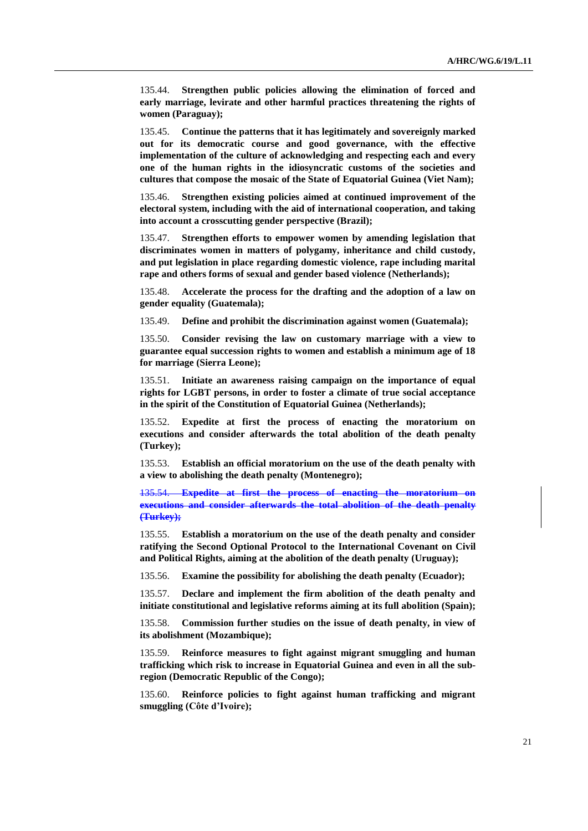135.44. **Strengthen public policies allowing the elimination of forced and early marriage, levirate and other harmful practices threatening the rights of women (Paraguay);**

135.45. **Continue the patterns that it has legitimately and sovereignly marked out for its democratic course and good governance, with the effective implementation of the culture of acknowledging and respecting each and every one of the human rights in the idiosyncratic customs of the societies and cultures that compose the mosaic of the State of Equatorial Guinea (Viet Nam);**

135.46. **Strengthen existing policies aimed at continued improvement of the electoral system, including with the aid of international cooperation, and taking into account a crosscutting gender perspective (Brazil);**

135.47. **Strengthen efforts to empower women by amending legislation that discriminates women in matters of polygamy, inheritance and child custody, and put legislation in place regarding domestic violence, rape including marital rape and others forms of sexual and gender based violence (Netherlands);**

135.48. **Accelerate the process for the drafting and the adoption of a law on gender equality (Guatemala);**

135.49. **Define and prohibit the discrimination against women (Guatemala);**

135.50. **Consider revising the law on customary marriage with a view to guarantee equal succession rights to women and establish a minimum age of 18 for marriage (Sierra Leone);**

135.51. **Initiate an awareness raising campaign on the importance of equal rights for LGBT persons, in order to foster a climate of true social acceptance in the spirit of the Constitution of Equatorial Guinea (Netherlands);**

135.52. **Expedite at first the process of enacting the moratorium on executions and consider afterwards the total abolition of the death penalty (Turkey);**

135.53. **Establish an official moratorium on the use of the death penalty with a view to abolishing the death penalty (Montenegro);**

135.54. **Expedite at first the process of enacting the moratorium on executions and consider afterwards the total abolition of the death penalty (Turkey);**

135.55. **Establish a moratorium on the use of the death penalty and consider ratifying the Second Optional Protocol to the International Covenant on Civil and Political Rights, aiming at the abolition of the death penalty (Uruguay);**

135.56. **Examine the possibility for abolishing the death penalty (Ecuador);**

135.57. **Declare and implement the firm abolition of the death penalty and initiate constitutional and legislative reforms aiming at its full abolition (Spain);**

135.58. **Commission further studies on the issue of death penalty, in view of its abolishment (Mozambique);**

135.59. **Reinforce measures to fight against migrant smuggling and human trafficking which risk to increase in Equatorial Guinea and even in all the subregion (Democratic Republic of the Congo);**

135.60. **Reinforce policies to fight against human trafficking and migrant smuggling (Côte d'Ivoire);**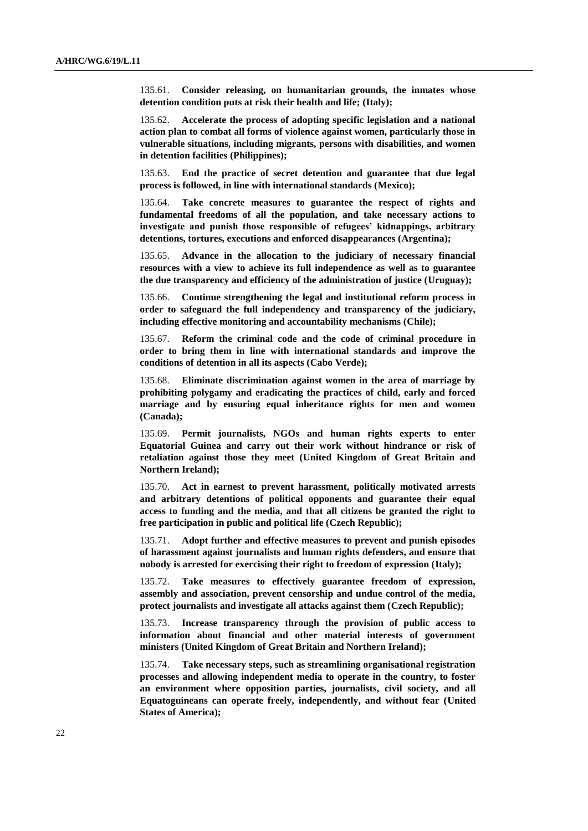135.61. **Consider releasing, on humanitarian grounds, the inmates whose detention condition puts at risk their health and life; (Italy);**

135.62. **Accelerate the process of adopting specific legislation and a national action plan to combat all forms of violence against women, particularly those in vulnerable situations, including migrants, persons with disabilities, and women in detention facilities (Philippines);**

135.63. **End the practice of secret detention and guarantee that due legal process is followed, in line with international standards (Mexico);**

135.64. **Take concrete measures to guarantee the respect of rights and fundamental freedoms of all the population, and take necessary actions to investigate and punish those responsible of refugees' kidnappings, arbitrary detentions, tortures, executions and enforced disappearances (Argentina);**

135.65. **Advance in the allocation to the judiciary of necessary financial resources with a view to achieve its full independence as well as to guarantee the due transparency and efficiency of the administration of justice (Uruguay);**

135.66. **Continue strengthening the legal and institutional reform process in order to safeguard the full independency and transparency of the judiciary, including effective monitoring and accountability mechanisms (Chile);**

135.67. **Reform the criminal code and the code of criminal procedure in order to bring them in line with international standards and improve the conditions of detention in all its aspects (Cabo Verde);**

135.68. **Eliminate discrimination against women in the area of marriage by prohibiting polygamy and eradicating the practices of child, early and forced marriage and by ensuring equal inheritance rights for men and women (Canada);**

135.69. **Permit journalists, NGOs and human rights experts to enter Equatorial Guinea and carry out their work without hindrance or risk of retaliation against those they meet (United Kingdom of Great Britain and Northern Ireland);**

135.70. **Act in earnest to prevent harassment, politically motivated arrests and arbitrary detentions of political opponents and guarantee their equal access to funding and the media, and that all citizens be granted the right to free participation in public and political life (Czech Republic);**

135.71. **Adopt further and effective measures to prevent and punish episodes of harassment against journalists and human rights defenders, and ensure that nobody is arrested for exercising their right to freedom of expression (Italy);**

135.72. **Take measures to effectively guarantee freedom of expression, assembly and association, prevent censorship and undue control of the media, protect journalists and investigate all attacks against them (Czech Republic);**

135.73. **Increase transparency through the provision of public access to information about financial and other material interests of government ministers (United Kingdom of Great Britain and Northern Ireland);**

135.74. **Take necessary steps, such as streamlining organisational registration processes and allowing independent media to operate in the country, to foster an environment where opposition parties, journalists, civil society, and all Equatoguineans can operate freely, independently, and without fear (United States of America);**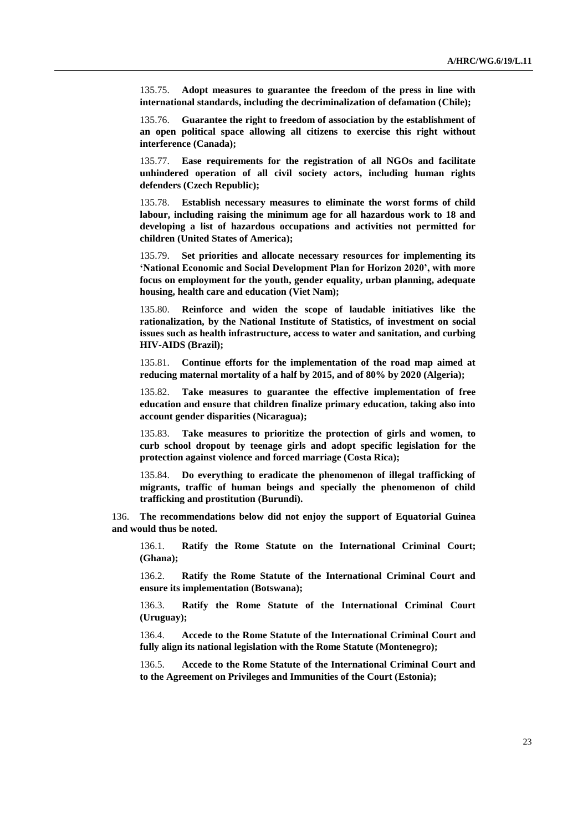135.75. **Adopt measures to guarantee the freedom of the press in line with international standards, including the decriminalization of defamation (Chile);**

135.76. **Guarantee the right to freedom of association by the establishment of an open political space allowing all citizens to exercise this right without interference (Canada);**

135.77. **Ease requirements for the registration of all NGOs and facilitate unhindered operation of all civil society actors, including human rights defenders (Czech Republic);**

135.78. **Establish necessary measures to eliminate the worst forms of child labour, including raising the minimum age for all hazardous work to 18 and developing a list of hazardous occupations and activities not permitted for children (United States of America);**

135.79. **Set priorities and allocate necessary resources for implementing its 'National Economic and Social Development Plan for Horizon 2020', with more focus on employment for the youth, gender equality, urban planning, adequate housing, health care and education (Viet Nam);**

135.80. **Reinforce and widen the scope of laudable initiatives like the rationalization, by the National Institute of Statistics, of investment on social issues such as health infrastructure, access to water and sanitation, and curbing HIV-AIDS (Brazil);**

135.81. **Continue efforts for the implementation of the road map aimed at reducing maternal mortality of a half by 2015, and of 80% by 2020 (Algeria);**

135.82. **Take measures to guarantee the effective implementation of free education and ensure that children finalize primary education, taking also into account gender disparities (Nicaragua);**

135.83. **Take measures to prioritize the protection of girls and women, to curb school dropout by teenage girls and adopt specific legislation for the protection against violence and forced marriage (Costa Rica);**

135.84. **Do everything to eradicate the phenomenon of illegal trafficking of migrants, traffic of human beings and specially the phenomenon of child trafficking and prostitution (Burundi).**

136. **The recommendations below did not enjoy the support of Equatorial Guinea and would thus be noted.**

136.1. **Ratify the Rome Statute on the International Criminal Court; (Ghana);**

136.2. **Ratify the Rome Statute of the International Criminal Court and ensure its implementation (Botswana);**

136.3. **Ratify the Rome Statute of the International Criminal Court (Uruguay);**

136.4. **Accede to the Rome Statute of the International Criminal Court and fully align its national legislation with the Rome Statute (Montenegro);**

136.5. **Accede to the Rome Statute of the International Criminal Court and to the Agreement on Privileges and Immunities of the Court (Estonia);**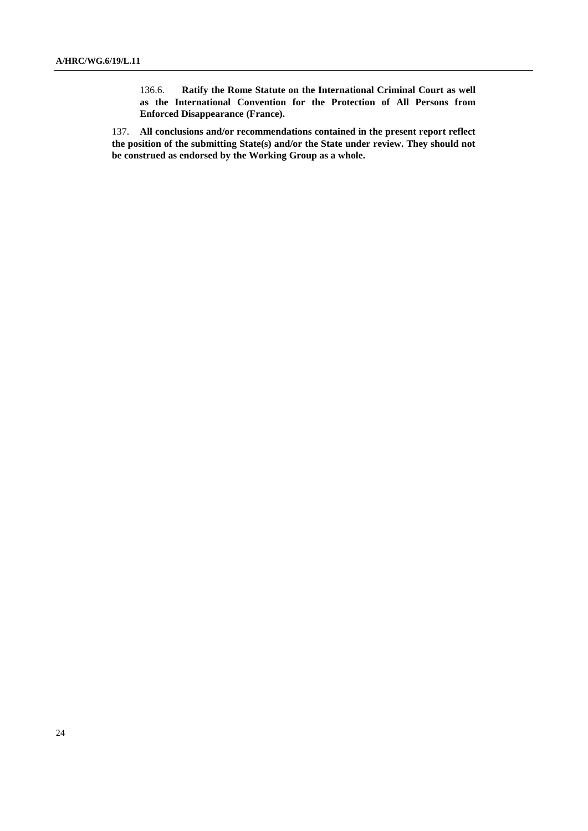136.6. **Ratify the Rome Statute on the International Criminal Court as well as the International Convention for the Protection of All Persons from Enforced Disappearance (France).**

137. **All conclusions and/or recommendations contained in the present report reflect the position of the submitting State(s) and/or the State under review. They should not be construed as endorsed by the Working Group as a whole.**